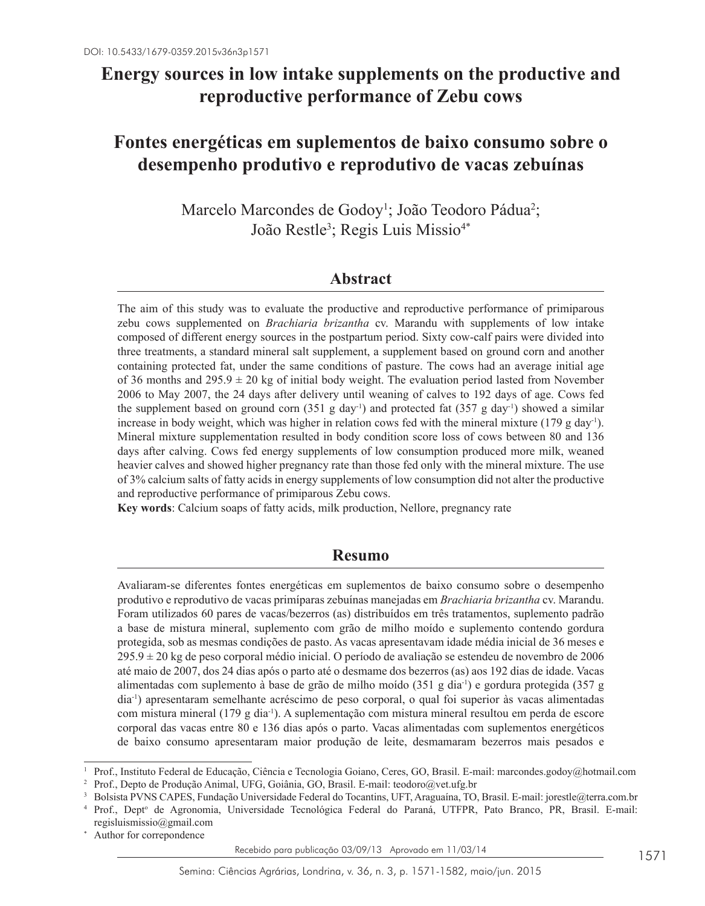# **Energy sources in low intake supplements on the productive and reproductive performance of Zebu cows**

## **Fontes energéticas em suplementos de baixo consumo sobre o desempenho produtivo e reprodutivo de vacas zebuínas**

Marcelo Marcondes de Godoy<sup>1</sup>; João Teodoro Pádua<sup>2</sup>; João Restle<sup>3</sup>; Regis Luis Missio<sup>4\*</sup>

### **Abstract**

The aim of this study was to evaluate the productive and reproductive performance of primiparous zebu cows supplemented on *Brachiaria brizantha* cv. Marandu with supplements of low intake composed of different energy sources in the postpartum period. Sixty cow-calf pairs were divided into three treatments, a standard mineral salt supplement, a supplement based on ground corn and another containing protected fat, under the same conditions of pasture. The cows had an average initial age of 36 months and 295.9  $\pm$  20 kg of initial body weight. The evaluation period lasted from November 2006 to May 2007, the 24 days after delivery until weaning of calves to 192 days of age. Cows fed the supplement based on ground corn  $(351 \text{ g day}^{-1})$  and protected fat  $(357 \text{ g day}^{-1})$  showed a similar increase in body weight, which was higher in relation cows fed with the mineral mixture (179 g day<sup>-1</sup>). Mineral mixture supplementation resulted in body condition score loss of cows between 80 and 136 days after calving. Cows fed energy supplements of low consumption produced more milk, weaned heavier calves and showed higher pregnancy rate than those fed only with the mineral mixture. The use of 3% calcium salts of fatty acids in energy supplements of low consumption did not alter the productive and reproductive performance of primiparous Zebu cows.

**Key words**: Calcium soaps of fatty acids, milk production, Nellore, pregnancy rate

## **Resumo**

Avaliaram-se diferentes fontes energéticas em suplementos de baixo consumo sobre o desempenho produtivo e reprodutivo de vacas primíparas zebuínas manejadas em *Brachiaria brizantha* cv. Marandu. Foram utilizados 60 pares de vacas/bezerros (as) distribuídos em três tratamentos, suplemento padrão a base de mistura mineral, suplemento com grão de milho moído e suplemento contendo gordura protegida, sob as mesmas condições de pasto. As vacas apresentavam idade média inicial de 36 meses e  $295.9 \pm 20$  kg de peso corporal médio inicial. O período de avaliação se estendeu de novembro de 2006 até maio de 2007, dos 24 dias após o parto até o desmame dos bezerros (as) aos 192 dias de idade. Vacas alimentadas com suplemento à base de grão de milho moído (351 g dia-1) e gordura protegida (357 g dia-1) apresentaram semelhante acréscimo de peso corporal, o qual foi superior às vacas alimentadas com mistura mineral (179 g dia-1). A suplementação com mistura mineral resultou em perda de escore corporal das vacas entre 80 e 136 dias após o parto. Vacas alimentadas com suplementos energéticos de baixo consumo apresentaram maior produção de leite, desmamaram bezerros mais pesados e

Author for correpondence

<sup>1</sup> Prof., Instituto Federal de Educação, Ciência e Tecnologia Goiano, Ceres, GO, Brasil. E-mail: marcondes.godoy@hotmail.com

<sup>2</sup> Prof., Depto de Produção Animal, UFG, Goiânia, GO, Brasil. E-mail: teodoro@vet.ufg.br

<sup>3</sup> Bolsista PVNS CAPES, Fundação Universidade Federal do Tocantins, UFT, Araguaína, TO, Brasil. E-mail: jorestle@terra.com.br

<sup>&</sup>lt;sup>4</sup> Prof., Dept<sup>o</sup> de Agronomia, Universidade Tecnológica Federal do Paraná, UTFPR, Pato Branco, PR, Brasil. E-mail: regisluismissio@gmail.com

Recebido para publicação 03/09/13 Aprovado em 11/03/14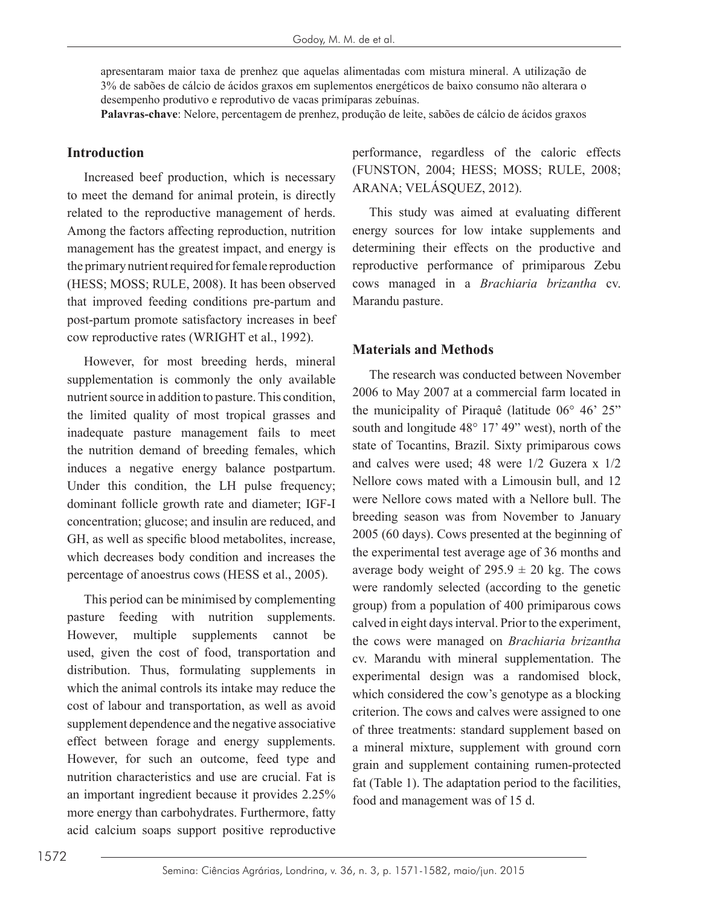apresentaram maior taxa de prenhez que aquelas alimentadas com mistura mineral. A utilização de 3% de sabões de cálcio de ácidos graxos em suplementos energéticos de baixo consumo não alterara o desempenho produtivo e reprodutivo de vacas primíparas zebuínas.

**Palavras-chave**: Nelore, percentagem de prenhez, produção de leite, sabões de cálcio de ácidos graxos

### **Introduction**

Increased beef production, which is necessary to meet the demand for animal protein, is directly related to the reproductive management of herds. Among the factors affecting reproduction, nutrition management has the greatest impact, and energy is the primary nutrient required for female reproduction (HESS; MOSS; RULE, 2008). It has been observed that improved feeding conditions pre-partum and post-partum promote satisfactory increases in beef cow reproductive rates (WRIGHT et al., 1992).

However, for most breeding herds, mineral supplementation is commonly the only available nutrient source in addition to pasture. This condition, the limited quality of most tropical grasses and inadequate pasture management fails to meet the nutrition demand of breeding females, which induces a negative energy balance postpartum. Under this condition, the LH pulse frequency; dominant follicle growth rate and diameter; IGF-I concentration; glucose; and insulin are reduced, and GH, as well as specific blood metabolites, increase, which decreases body condition and increases the percentage of anoestrus cows (HESS et al., 2005).

This period can be minimised by complementing pasture feeding with nutrition supplements. However, multiple supplements cannot be used, given the cost of food, transportation and distribution. Thus, formulating supplements in which the animal controls its intake may reduce the cost of labour and transportation, as well as avoid supplement dependence and the negative associative effect between forage and energy supplements. However, for such an outcome, feed type and nutrition characteristics and use are crucial. Fat is an important ingredient because it provides 2.25% more energy than carbohydrates. Furthermore, fatty acid calcium soaps support positive reproductive performance, regardless of the caloric effects (FUNSTON, 2004; HESS; MOSS; RULE, 2008; ARANA; VELÁSQUEZ, 2012).

This study was aimed at evaluating different energy sources for low intake supplements and determining their effects on the productive and reproductive performance of primiparous Zebu cows managed in a *Brachiaria brizantha* cv. Marandu pasture.

### **Materials and Methods**

The research was conducted between November 2006 to May 2007 at a commercial farm located in the municipality of Piraquê (latitude 06° 46' 25" south and longitude 48° 17' 49" west), north of the state of Tocantins, Brazil. Sixty primiparous cows and calves were used; 48 were 1/2 Guzera x 1/2 Nellore cows mated with a Limousin bull, and 12 were Nellore cows mated with a Nellore bull. The breeding season was from November to January 2005 (60 days). Cows presented at the beginning of the experimental test average age of 36 months and average body weight of  $295.9 \pm 20$  kg. The cows were randomly selected (according to the genetic group) from a population of 400 primiparous cows calved in eight days interval. Prior to the experiment, the cows were managed on *Brachiaria brizantha* cv. Marandu with mineral supplementation. The experimental design was a randomised block, which considered the cow's genotype as a blocking criterion. The cows and calves were assigned to one of three treatments: standard supplement based on a mineral mixture, supplement with ground corn grain and supplement containing rumen-protected fat (Table 1). The adaptation period to the facilities, food and management was of 15 d.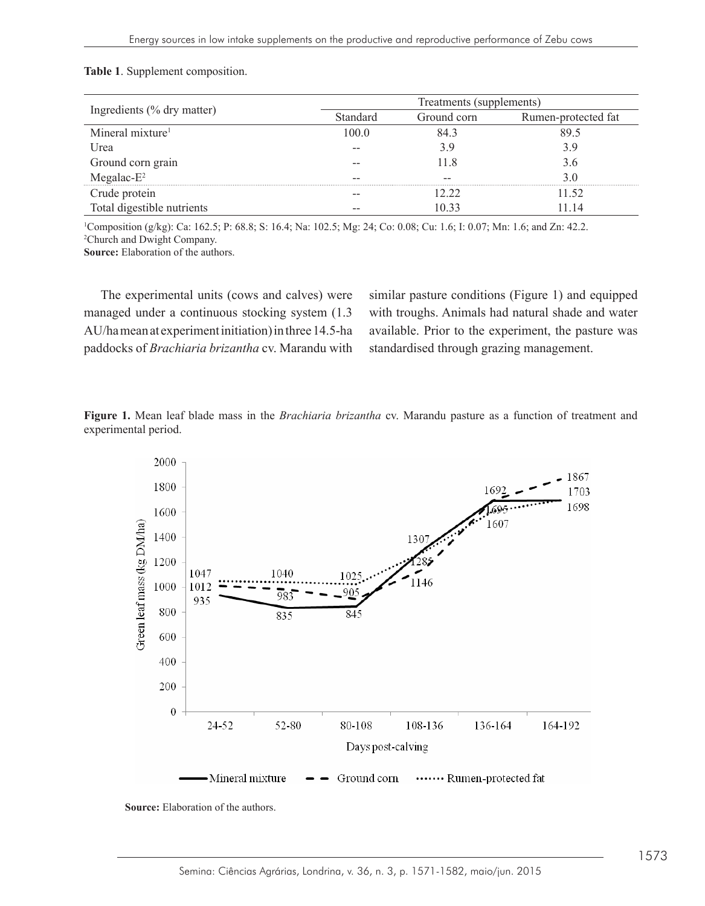|                              | Treatments (supplements) |             |                             |  |  |  |
|------------------------------|--------------------------|-------------|-----------------------------|--|--|--|
| Ingredients (% dry matter)   | <b>Standard</b>          | Ground corn | Rumen-protected fat<br>89.5 |  |  |  |
| Mineral mixture <sup>1</sup> | 1000                     | 843         |                             |  |  |  |
| Urea                         |                          | 3.9         | 3.9                         |  |  |  |
| Ground corn grain            |                          | 11 8        | 3.6                         |  |  |  |
| Megalac- $E^2$               |                          |             | 3 በ                         |  |  |  |
| Crude protein                |                          | 12.22       | 11.52                       |  |  |  |
| Total digestible nutrients   | --                       | 10 33       | 11 14                       |  |  |  |

## **Table 1**. Supplement composition. **Table 1**. Supplement composition.

 $^1$ Composition (g/kg): Ca: 162.5; P: 68.8; S: 16.4; Na: 102.5; Mg: 24; Co: 0.08; Cu: 1.6; I: 0.07; Mn: 1.6; and Zn: 42.2. <sup>2</sup>Church and Dwight Company.

**Source:** Elaboration of the authors.

The experimental units (cows and calves) were managed under a continuous stocking system (1.3 AU/ha mean at experiment initiation) in three 14.5-ha paddocks of *Brachiaria brizantha* cv. Marandu with standardised through grazing manage

similar pasture conditions (Figure 1) and equipped managed under a continuous stocking system (1.3 with troughs. Animals had natural shade and water AU/hamean at experiment initiation) in three 14.5-ha available. Prior to the experiment, the pasture was standardised through grazing management. The experimental units (cows and calves) were managed units (continuous stocking  $\mathbb{R}^n$  and  $\mathbb{R}^n$  and  $\mathbb{R}^n$  and  $\mathbb{R}^n$  and  $\mathbb{R}^n$  and  $\mathbb{R}^n$  and  $\mathbb{R}^n$  and  $\mathbb{R}^n$  and  $\mathbb{R}^n$  and  $\mathbb{$ 

Figure 1. Mean leaf blade mass in the *Brachiaria brizantha* cv. Marandu pasture as a function of treatment and experimental period.



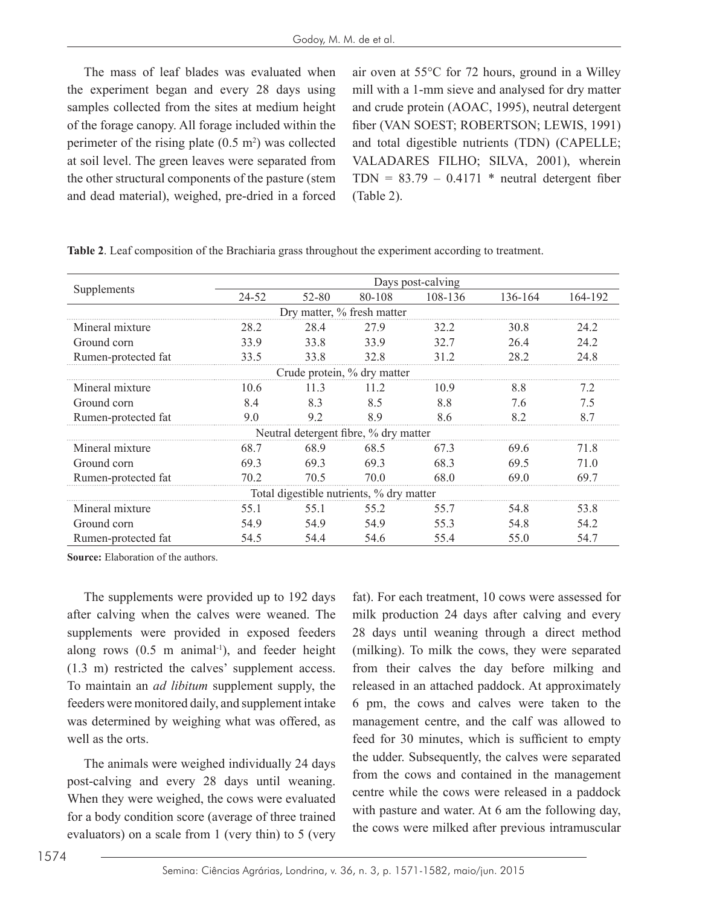The mass of leaf blades was evaluated when the experiment began and every 28 days using samples collected from the sites at medium height of the forage canopy. All forage included within the perimeter of the rising plate  $(0.5 \text{ m}^2)$  was collected at soil level. The green leaves were separated from the other structural components of the pasture (stem and dead material), weighed, pre-dried in a forced

air oven at 55°C for 72 hours, ground in a Willey mill with a 1-mm sieve and analysed for dry matter and crude protein (AOAC, 1995), neutral detergent fiber (VAN SOEST; ROBERTSON; LEWIS, 1991) and total digestible nutrients (TDN) (CAPELLE; VALADARES FILHO; SILVA, 2001), wherein  $TDN = 83.79 - 0.4171$  \* neutral detergent fiber (Table 2).

| Supplements                           | Days post-calving |           |                                          |         |         |         |  |  |  |
|---------------------------------------|-------------------|-----------|------------------------------------------|---------|---------|---------|--|--|--|
|                                       | 24-52             | $52 - 80$ | 80-108                                   | 108-136 | 136-164 | 164-192 |  |  |  |
| Dry matter, % fresh matter            |                   |           |                                          |         |         |         |  |  |  |
| Mineral mixture                       | 28.2              | 28.4      | 27.9                                     | 32.2    | 30.8    | 24.2    |  |  |  |
| Ground corn                           | 33.9              | 33.8      | 33.9                                     | 32.7    | 26.4    | 24.2    |  |  |  |
| Rumen-protected fat                   | 33.5              | 33.8      | 32.8                                     | 31.2    | 28.2    | 24.8    |  |  |  |
| Crude protein, % dry matter           |                   |           |                                          |         |         |         |  |  |  |
| Mineral mixture                       | 10.6              | 11.3      | 11.2                                     | 10.9    | 8.8     | 7.2     |  |  |  |
| Ground corn                           | 8.4               | 8.3       | 8.5                                      | 8.8     | 7.6     | 7.5     |  |  |  |
| Rumen-protected fat                   | 9.0               | 9.2       | 8.9                                      | 8.6     | 8.2     | 8.7     |  |  |  |
| Neutral detergent fibre, % dry matter |                   |           |                                          |         |         |         |  |  |  |
| Mineral mixture                       | 68.7              | 68.9      | 68.5                                     | 67.3    | 69.6    | 71.8    |  |  |  |
| Ground corn                           | 69.3              | 69.3      | 69.3                                     | 68.3    | 69.5    | 71.0    |  |  |  |
| Rumen-protected fat                   | 70.2              | 70.5      | 70.0                                     | 68.0    | 69.0    | 697     |  |  |  |
|                                       |                   |           | Total digestible nutrients, % dry matter |         |         |         |  |  |  |
| Mineral mixture                       | 55.1              | 55.1      | 55.2                                     | 55.7    | 54.8    | 53.8    |  |  |  |
| Ground corn                           | 54.9              | 54.9      | 54.9                                     | 55.3    | 54.8    | 54.2    |  |  |  |
| Rumen-protected fat                   | 54.5              | 54.4      | 54.6                                     | 55.4    | 55.0    | 54.7    |  |  |  |

**Table 2**. Leaf composition of the Brachiaria grass throughout the experiment according to treatment.

**Source:** Elaboration of the authors.

The supplements were provided up to 192 days after calving when the calves were weaned. The supplements were provided in exposed feeders along rows  $(0.5 \text{ m}$  animal<sup>-1</sup>), and feeder height (1.3 m) restricted the calves' supplement access. To maintain an *ad libitum* supplement supply, the feeders were monitored daily, and supplement intake was determined by weighing what was offered, as well as the orts.

The animals were weighed individually 24 days post-calving and every 28 days until weaning. When they were weighed, the cows were evaluated for a body condition score (average of three trained evaluators) on a scale from 1 (very thin) to 5 (very fat). For each treatment, 10 cows were assessed for milk production 24 days after calving and every 28 days until weaning through a direct method (milking). To milk the cows, they were separated from their calves the day before milking and released in an attached paddock. At approximately 6 pm, the cows and calves were taken to the management centre, and the calf was allowed to feed for 30 minutes, which is sufficient to empty the udder. Subsequently, the calves were separated from the cows and contained in the management centre while the cows were released in a paddock with pasture and water. At 6 am the following day, the cows were milked after previous intramuscular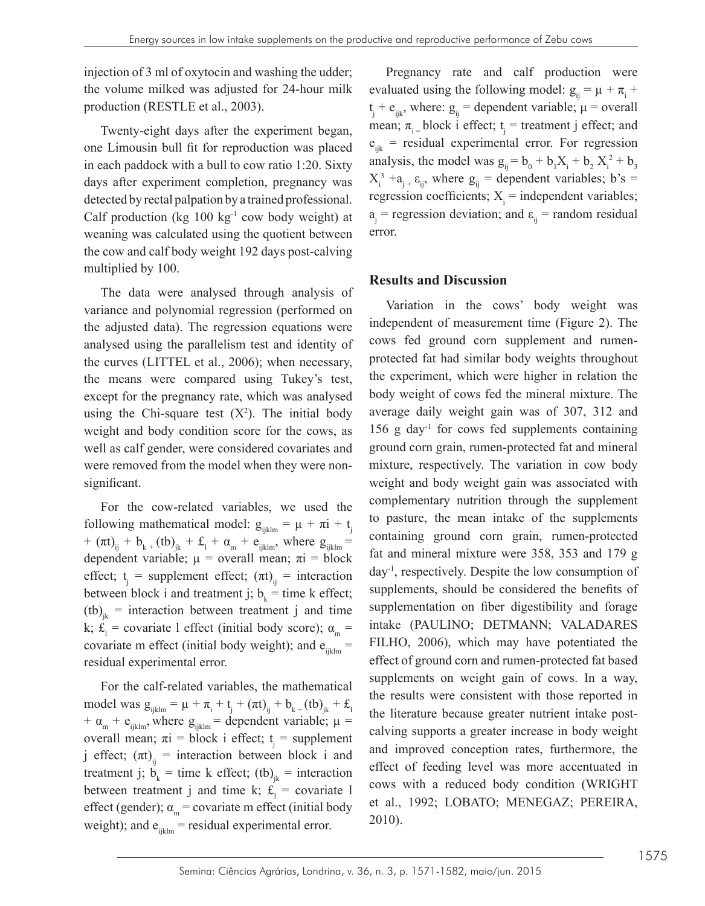injection of 3 ml of oxytocin and washing the udder; the volume milked was adjusted for 24-hour milk production (RESTLE et al., 2003).

Twenty-eight days after the experiment began, one Limousin bull fit for reproduction was placed in each paddock with a bull to cow ratio 1:20. Sixty days after experiment completion, pregnancy was detected by rectal palpation by a trained professional. Calf production (kg  $100 \text{ kg}^{-1}$  cow body weight) at weaning was calculated using the quotient between the cow and calf body weight 192 days post-calving multiplied by 100.

The data were analysed through analysis of variance and polynomial regression (performed on the adjusted data). The regression equations were analysed using the parallelism test and identity of the curves (LITTEL et al., 2006); when necessary, the means were compared using Tukey's test, except for the pregnancy rate, which was analysed using the Chi-square test  $(X^2)$ . The initial body weight and body condition score for the cows, as well as calf gender, were considered covariates and were removed from the model when they were nonsignificant.

For the cow-related variables, we used the following mathematical model:  $g_{iiklm} = \mu + \pi i + t$ +  $(\pi t)_{ij}$  +  $b_{k+}$  (tb)<sub>jk</sub> +  $\pounds_1$  +  $\alpha_m$  +  $e_{ijklm}$ , where  $g_{ijklm}$  = dependent variable;  $\mu$  = overall mean;  $\pi i$  = block effect;  $t_j$  = supplement effect;  $(\pi t)_{ij}$  = interaction between block i and treatment j;  $b_k$  = time k effect;  $(b)$ <sub>ik</sub> = interaction between treatment j and time k;  $\mathbf{f}_1$  = covariate 1 effect (initial body score);  $\alpha_m$  = covariate m effect (initial body weight); and  $e_{ijklm}$  = residual experimental error.

For the calf-related variables, the mathematical model was  $g_{ijklm} = \mu + \pi_i + t_j + (\pi t)_{ij} + b_{k+} (tb)_{jk} + f_{lj}$ +  $\alpha_{m}$  +  $e_{ijklm}$ , where  $g_{ijklm}$  = dependent variable;  $\mu$  = overall mean;  $\pi i$  = block i effect;  $t_i$  = supplement j effect;  $(\pi t)_{ii}$  = interaction between block i and treatment j;  $b_k$  = time k effect; (tb)<sub>jk</sub> = interaction between treatment j and time k;  $f_1$  = covariate 1 effect (gender);  $\alpha_m$  = covariate m effect (initial body weight); and  $e_{ijklm}$  = residual experimental error.

Pregnancy rate and calf production were evaluated using the following model:  $g_{ij} = \mu + \pi_i +$  $t_j + e_{ijk}$ , where:  $g_{ij}$  = dependent variable;  $\mu$  = overall mean;  $\pi_{i}$  = block i effect;  $t_{j}$  = treatment j effect; and  $e_{ijk}$  = residual experimental error. For regression analysis, the model was  $g_{ij} = b_0 + b_1 X_i + b_2 X_i^2 + b_3$  $X_i^3 + a_{j}^2$ , where  $g_{ij}$  = dependent variables; b's = regression coefficients;  $X_i$  = independent variables;  $a_j$  = regression deviation; and  $\varepsilon_{ij}$  = random residual error.

#### **Results and Discussion**

Variation in the cows' body weight was independent of measurement time (Figure 2). The cows fed ground corn supplement and rumenprotected fat had similar body weights throughout the experiment, which were higher in relation the body weight of cows fed the mineral mixture. The average daily weight gain was of 307, 312 and  $156$  g day<sup>-1</sup> for cows fed supplements containing ground corn grain, rumen-protected fat and mineral mixture, respectively. The variation in cow body weight and body weight gain was associated with complementary nutrition through the supplement to pasture, the mean intake of the supplements containing ground corn grain, rumen-protected fat and mineral mixture were 358, 353 and 179 g day-1, respectively. Despite the low consumption of supplements, should be considered the benefits of supplementation on fiber digestibility and forage intake (PAULINO; DETMANN; VALADARES FILHO, 2006), which may have potentiated the effect of ground corn and rumen-protected fat based supplements on weight gain of cows. In a way, the results were consistent with those reported in the literature because greater nutrient intake postcalving supports a greater increase in body weight and improved conception rates, furthermore, the effect of feeding level was more accentuated in cows with a reduced body condition (WRIGHT et al., 1992; LOBATO; MENEGAZ; PEREIRA, 2010).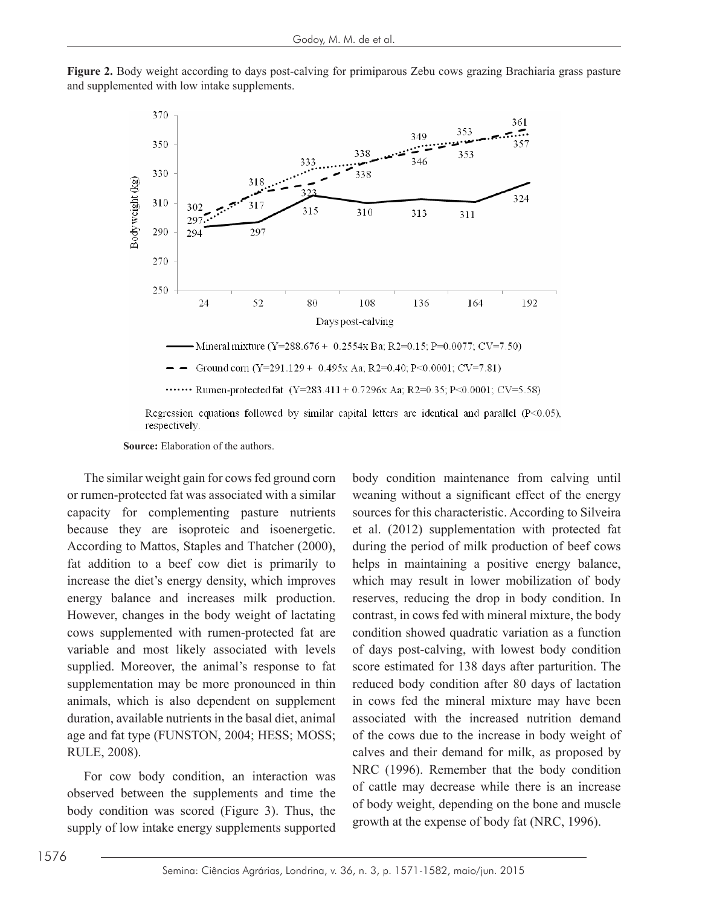



**Source:** Elaboration of the authors.

 $\mathbf{B}$   $\mathbf{B}$   $\mathbf{B}$   $\mathbf{B}$   $\mathbf{B}$   $\mathbf{B}$   $\mathbf{B}$   $\mathbf{B}$   $\mathbf{B}$   $\mathbf{B}$   $\mathbf{B}$   $\mathbf{B}$   $\mathbf{B}$   $\mathbf{B}$   $\mathbf{B}$   $\mathbf{B}$   $\mathbf{B}$   $\mathbf{B}$   $\mathbf{B}$   $\mathbf{B}$   $\mathbf{B}$   $\mathbf{B}$   $\mathbf{B}$   $\mathbf{B}$   $\mathbf{$ supplied. Moreover, the animal's response to fat score esting The similar weight gain for cows fed ground corn or rumen-protected fat was associated with a similar capacity for complementing pasture nutrients because they are isoproteic and isoenergetic. According to Mattos, Staples and Thatcher (2000), fat addition to a beef cow diet is primarily to increase the diet's energy density, which improves energy balance and increases milk production. However, changes in the body weight of lactating variable and most likely associated with levels supplementation may be more pronounced in thin animals, which is also dependent on supplement duration, available nutrients in the basal diet, animal age and fat type (FUNSTON, 2004; HESS; MOSS; RULE, 2008).

supply of low intake energy supplements supported growth at the expense of body fat (NRC, 1996). For cow body condition, an interaction was observed between the supplements and time the body condition was scored (Figure 3). Thus, the

for complementing pasture nutrients sources for this characteristic. According to Silveira because they are isoproteic and isoenergetic. et al. (2012) supplementation with protected fat to Matter Countries, Supples and Thatcher (2000), fatting an percent of the dietection of the diet of the diet is primarily to helps in maintaining a positive energy balance, increase the diet's energy density, which improves which may result in lower mobilization of body energy balance and increases milk production. reserves, reducing the drop in body condition. In revel, the angles in the cody weight of idealing conduct, in cows for what initiate initiate, the cody cows supplemented with rumen-protected fat are condition showed quadratic variation as a function variable and most likely associated with levels of days post-calving, with lowest body condition entation may be more pronounced in thin reduced body condition after 80 days of lactation duration, available nutrients in the basal diet, animal associated with the increased nutrition demand age and fat type (FUNSTON, 2004; HESS; MOSS; of the cows due to the increase in body weight of RULE, 2008). Calves and their demand for milk, as proposed by calves and their demand for milk, as proposed by For cow body condition, an interaction was<br>of cattle may decrease while there is an increase  $\frac{1}{2}$  body condition was seered (Figure 3). Thus, the drop in body weight, depending on the bone and muscle body condition maintenance from calving until weaning without a significant effect of the energy during the period of milk production of beef cows contrast, in cows fed with mineral mixture, the body condition showed quadratic variation as a function score estimated for 138 days after parturition. The in cows fed the mineral mixture may have been NRC (1996). Remember that the body condition growth at the expense of body fat (NRC, 1996).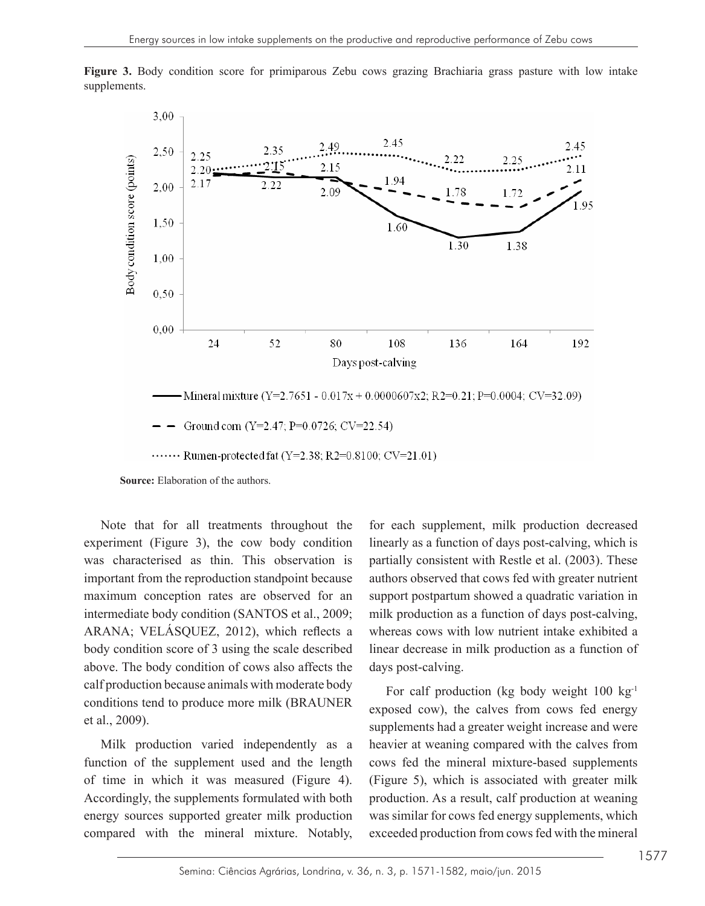

**Figure 3.** Body condition score for primiparous Zebu cows grazing Brachiaria grass pasture with low intake **Figure 3.** Body condition score for primiparous Zebu cows grazing Brachiaria grass supplements. particle with low  $\frac{1}{r}$  in the supplements.

**Source:** Elaboration of the authors.

body condition score of 3 using the scale described  $\frac{M_1}{\text{col}}$  production because animals with moderate body  $\frac{M_1}{\text{col}}$  for each production (kg body weight 100 kg<sup>-1</sup>) conditions tend to produce more milk (BRAUNER exposed cow), the calves from cows fed energy Note that for all treatments throughout the experiment (Figure 3), the cow body condition was characterised as thin. This observation is important from the reproduction standpoint because maximum conception rates are observed for an intermediate body condition (SANTOS et al., 2009; above. The body condition of cows also affects the et al., 2009).

Milk production varied independently as a heavier at weaning compared with the calves from function of the supplement used and the length cows fed the mineral mixture-based supplements function of the supplement used and the length of time in which it was measured (Figure 4). Accordingly, the supplements formulated with both energy sources supported greater milk production compared with the mineral mixture. Notably,

ent (Figure 3), the cow body condition linearly as a function of days post-calving, which is was characterised as thin. This observation is partially consistent with Restle et al. (2003). These maximum conception rates are observed for an support postpartum showed a quadratic variation in intermediate body condition (SANTOS et al., 2009; milk production as a function of days post-calving, ARANA; VELÁSQUEZ, 2012), which reflects a whereas cows with low nutrient intake exhibited a for each supplement, milk production decreased authors observed that cows fed with greater nutrient whereas cows with low nutrient intake exhibited a linear decrease in milk production as a function of days post-calving.

et al., 2009). Supplements had a greater weight increase and were For calf production (kg body weight 100 kg-1 exposed cow), the calves from cows fed energy heavier at weaning compared with the calves from (Figure 5), which is associated with greater milk production. As a result, calf production at weaning was similar for cows fed energy supplements, which exceeded production from cows fed with the mineral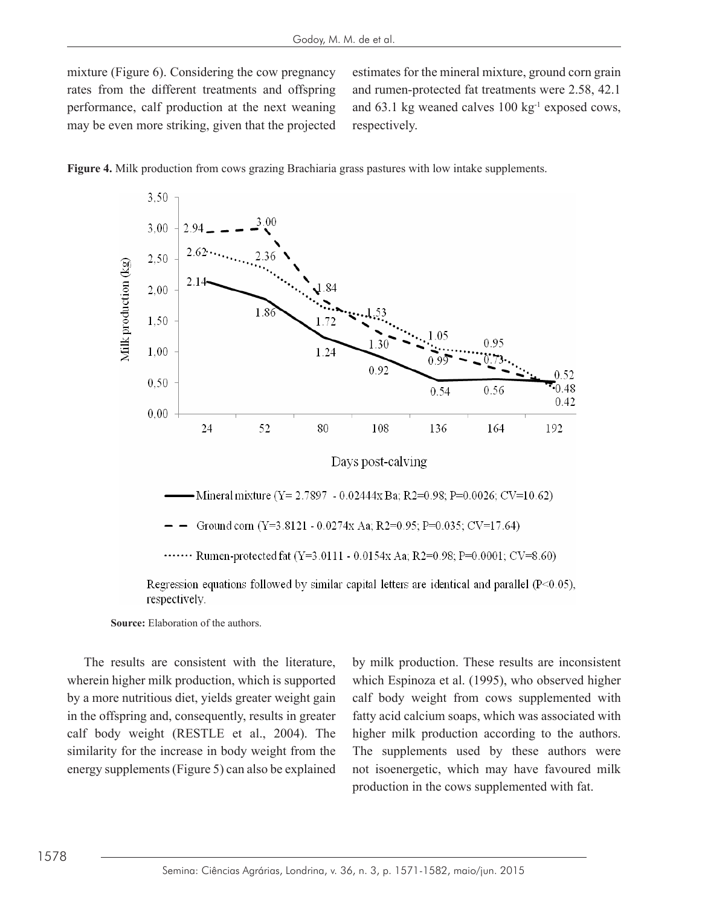mixture (Figure 6). Considering the cow pregnancy estimates for the mineral mixture, ground corn grain rates from the different treatments and offspring and rumen-protected fat t performance, calf production at the next weaning may be even more striking, given that the projected

estimates for the mineral mixture, ground corn grain and rumen-protected fat treatments were 2.58, 42.1 and 63.1 kg weaned calves 100 kg-1 exposed cows, respectively. **Figure 4.** Milk production from cows grazing Brachiaria grass pastures with low intake







....... Rumen-protected fat  $(Y=3.0111 - 0.0154x \text{ Aa}; R2=0.98; P=0.0001; CV=8.60)$ 

Regression equations followed by similar capital letters are identical and parallel  $(P<0.05)$ , respectively.

**Source:** Elaboration of the authors.

The results are consistent with the literature, wherein higher milk production, which is supported by a more nutritious diet, yields greater weight gain calf body weight (RESTLE et al., 2004). The similarity for the increase in body weight from the energy supplements (Figure 5) can also be explained

higher milk production, which is supported which Espinoza et al. (1995), who observed higher in the offspring and, consequently, results in greater fatty acid calcium soaps, which was associated with calf body weight (RESTLE et al., 2004). The higher milk production according to the authors. by milk production. These results are inconsistent calf body weight from cows supplemented with fatty acid calcium soaps, which was associated with The supplements used by these authors were not isoenergetic, which may have favoured milk production in the cows supplemented with fat.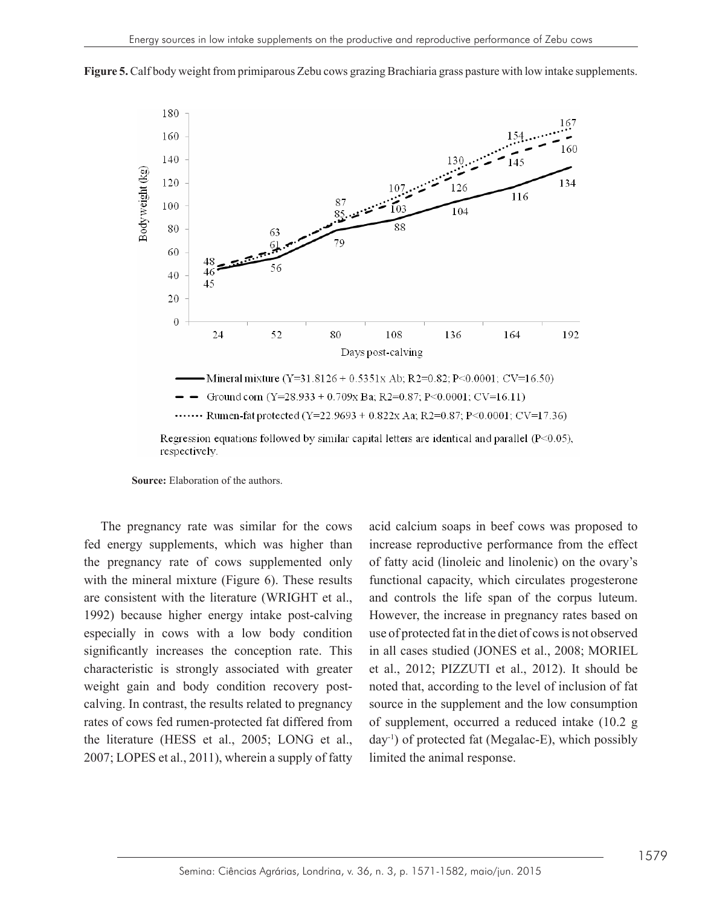

Figure 5. Calf body weight from primiparous Zebu cows grazing Brachiaria grass pasture with low intake supplements.

**Source:** Elaboration of the authors.

The pregnancy rate was similar for the cows fed energy supplements, which was higher than the pregnancy rate of cows supplemented only with the mineral mixture (Figure 6). These results are consistent with the literature (WRIGHT et al., 1992) because higher energy intake post-calving especially in cows with a low body condition significantly increases the conception rate. This characteristic is strongly associated with greater weight gain and body condition recovery postcalving. In contrast, the results related to pregnancy rates of cows fed rumen-protected fat differed from the literature (HESS et al., 2005; LONG et al., 2007; LOPES et al., 2011), wherein a supply of fatty

gy supplements, which was higher than increase reproductive performance from the effect pregnancy rate of cows supplemented only with the mineral mineral mineral principal mixture of the mineral mineral mineral mineral mineral mineral mineral mineral mineral mineral mineral mineral mineral mineral mineral min are consistent with the literature (WRIGHT et al., and controls the life span of the corpus luteum. 1992) because higher energy intake post-calving However, the increase in pregnancy rates based on especially in cows with a low body condition use of protected fat in the diet of cows is not observed predicted from the correspondance in the literature from the literature (SONES et al., 2005; MONEE characteristic is strongly associated with greater et al., 2012; PIZZUTI et al., 2012). It should be weight gain and body condition recovery post- noted that, according to the level of inclusion of fat acid calcium soaps in beef cows was proposed to of fatty acid (linoleic and linolenic) on the ovary's functional capacity, which circulates progesterone in all cases studied (JONES et al., 2008; MORIEL source in the supplement and the low consumption of supplement, occurred a reduced intake (10.2 g  $day^{-1}$ ) of protected fat (Megalac-E), which possibly limited the animal response.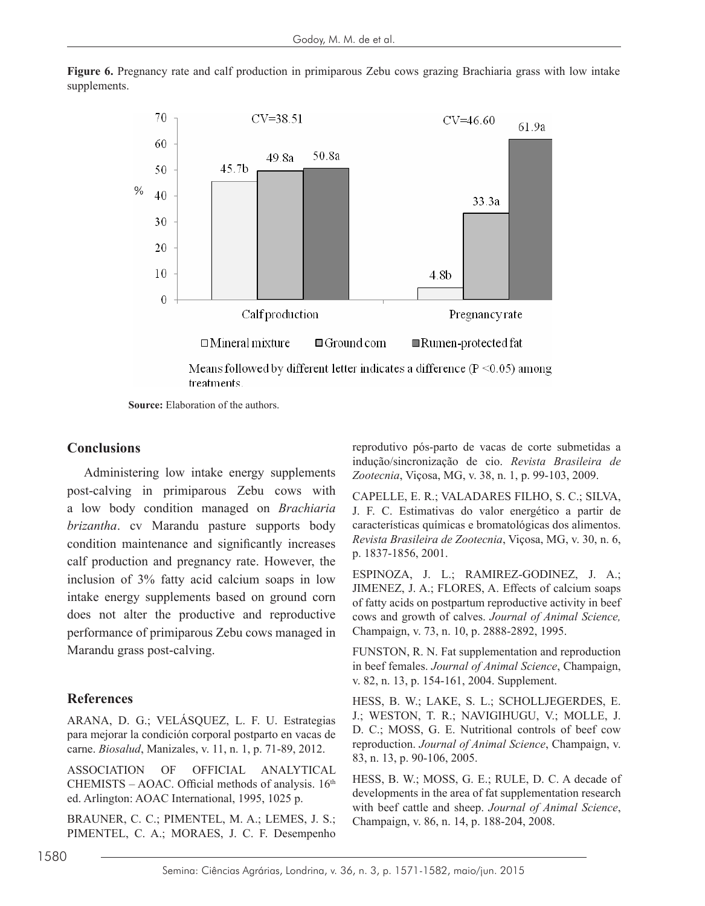

Figure 6. Pregnancy rate and calf production in primiparous Zebu cows grazing Brachiaria grass with low intake supplements.

> Means followed by different letter indicates a difference ( $P \le 0.05$ ) among treatments.

**Source:** Elaboration of the authors.

#### **Conclusions**

Administering low intake energy supplements nelusion of 3% fatty acid calcium soaps in low ESPINOZA, J. L.; RAMIREZ-GODINEZ, J. A.; intake energy supplements based on ground corn flux scide on postpartum reproductive act performance of primiparous Zebu cows managed in post-calving in primiparous Zebu cows with calf production and pregnancy rate. However, the inclusion of 3% fatty acid calcium soaps in low does not alter the productive and reproductive Marandu grass post-calving.

#### **References**

ARANA, D. G.; VELÁSQUEZ, L. F. U. Estrategias para mejorar la condición corporal postparto en vacas de carne. *Biosalud*, Manizales, v. 11, n. 1, p. 71-89, 2012.

ASSOCIATION OF OFFICIAL ANALYTICAL CHEMISTS – AOAC. Official methods of analysis.  $16<sup>th</sup>$ ed. Arlington: AOAC International, 1995, 1025 p.

BRAUNER, C. C.; PIMENTEL, M. A.; LEMES, J. S.; PIMENTEL, C. A.; MORAES, J. C. F. Desempenho

reprodutivo pós-parto de vacas de corte submetidas a indução/sincronização de cio. *Revista Brasileira de Zootecnia*, Viçosa, MG, v. 38, n. 1, p. 99-103, 2009.

a low body condition managed on *Brachiaria* **J. F. C. Estimativas do valor energético a partir de** brizantha. cv Marandu pasture supports body características químicas e-bromatológicas dos alimentos. condition maintenance and significantly increases  $\frac{Revista\, bras. 1837-1856}{p}$  1837-1856 2001 CAPELLE, E. R.; VALADARES FILHO, S. C.; SILVA, J. F. C. Estimativas do valor energético a partir de características químicas e bromatológicas dos alimentos. *Revista Brasileira de Zootecnia*, Viçosa, MG, v. 30, n. 6, p. 1837-1856, 2001.

> JIMENEZ, J. A.; FLORES, A. Effects of calcium soaps of fatty acids on postpartum reproductive activity in beef cows and growth of calves. *Journal of Animal Science,* Champaign, v. 73, n. 10, p. 2888-2892, 1995.

> FUNSTON, R. N. Fat supplementation and reproduction in beef females. *Journal of Animal Science*, Champaign, v. 82, n. 13, p. 154-161, 2004. Supplement.

> HESS, B. W.; LAKE, S. L.; SCHOLLJEGERDES, E. J.; WESTON, T. R.; NAVIGIHUGU, V.; MOLLE, J. D. C.; MOSS, G. E. Nutritional controls of beef cow reproduction. *Journal of Animal Science*, Champaign, v. 83, n. 13, p. 90-106, 2005.

> HESS, B. W.; MOSS, G. E.; RULE, D. C. A decade of developments in the area of fat supplementation research with beef cattle and sheep. *Journal of Animal Science*, Champaign, v. 86, n. 14, p. 188-204, 2008.